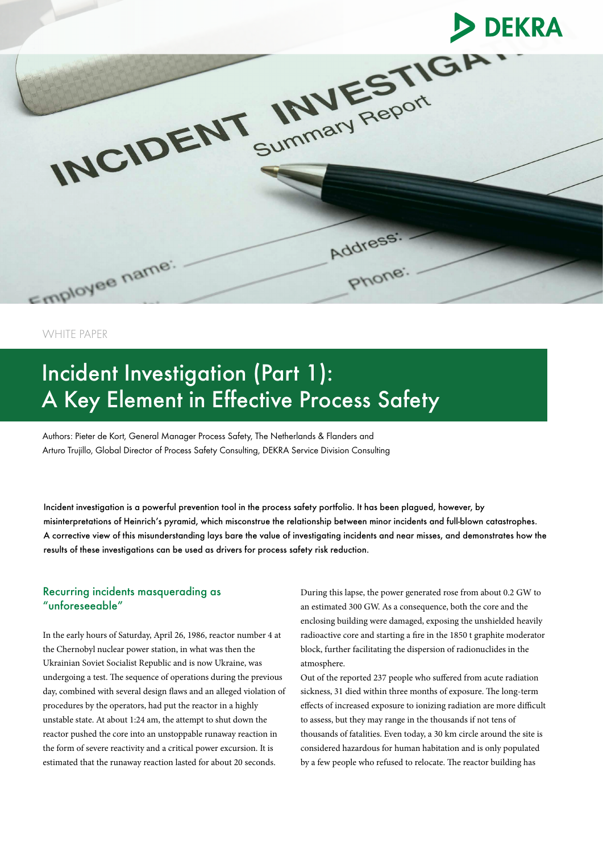

WHITE PAPER

# Incident Investigation (Part 1): A Key Element in Effective Process Safety

Authors: Pieter de Kort, General Manager Process Safety, The Netherlands & Flanders and Arturo Trujillo, Global Director of Process Safety Consulting, DEKRA Service Division Consulting

Incident investigation is a powerful prevention tool in the process safety portfolio. It has been plagued, however, by misinterpretations of Heinrich's pyramid, which misconstrue the relationship between minor incidents and full-blown catastrophes. A corrective view of this misunderstanding lays bare the value of investigating incidents and near misses, and demonstrates how the results of these investigations can be used as drivers for process safety risk reduction.

## Recurring incidents masquerading as "unforeseeable"

In the early hours of Saturday, April 26, 1986, reactor number 4 at the Chernobyl nuclear power station, in what was then the Ukrainian Soviet Socialist Republic and is now Ukraine, was undergoing a test. The sequence of operations during the previous day, combined with several design flaws and an alleged violation of procedures by the operators, had put the reactor in a highly unstable state. At about 1:24 am, the attempt to shut down the reactor pushed the core into an unstoppable runaway reaction in the form of severe reactivity and a critical power excursion. It is estimated that the runaway reaction lasted for about 20 seconds.

During this lapse, the power generated rose from about 0.2 GW to an estimated 300 GW. As a consequence, both the core and the enclosing building were damaged, exposing the unshielded heavily radioactive core and starting a fire in the 1850 t graphite moderator block, further facilitating the dispersion of radionuclides in the atmosphere.

Out of the reported 237 people who suffered from acute radiation sickness, 31 died within three months of exposure. The long-term effects of increased exposure to ionizing radiation are more difficult to assess, but they may range in the thousands if not tens of thousands of fatalities. Even today, a 30 km circle around the site is considered hazardous for human habitation and is only populated by a few people who refused to relocate. The reactor building has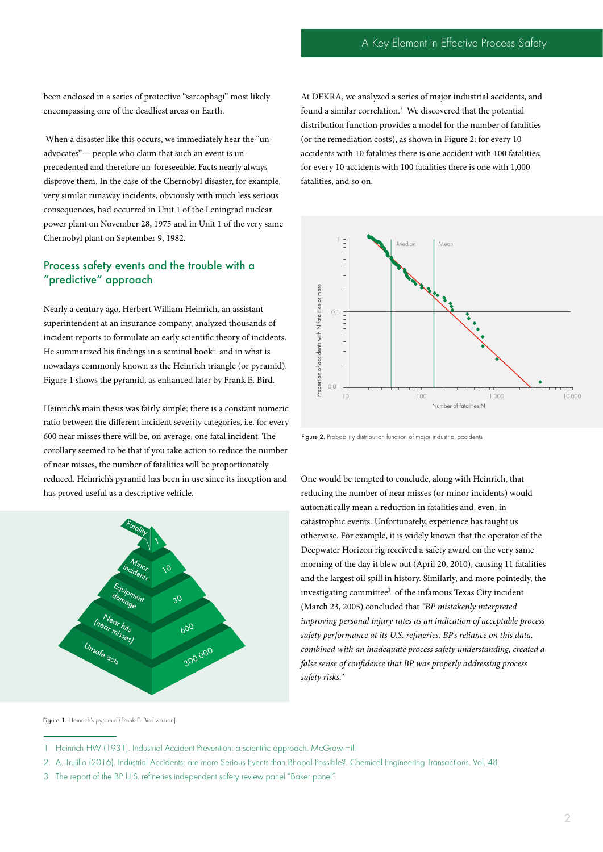been enclosed in a series of protective "sarcophagi" most likely encompassing one of the deadliest areas on Earth.

 When a disaster like this occurs, we immediately hear the "unadvocates"— people who claim that such an event is unprecedented and therefore un-foreseeable. Facts nearly always disprove them. In the case of the Chernobyl disaster, for example, very similar runaway incidents, obviously with much less serious consequences, had occurred in Unit 1 of the Leningrad nuclear power plant on November 28, 1975 and in Unit 1 of the very same Chernobyl plant on September 9, 1982.

# Process safety events and the trouble with a "predictive" approach

Nearly a century ago, Herbert William Heinrich, an assistant superintendent at an insurance company, analyzed thousands of incident reports to formulate an early scientific theory of incidents. He summarized his findings in a seminal book $1$  and in what is nowadays commonly known as the Heinrich triangle (or pyramid). Figure 1 shows the pyramid, as enhanced later by Frank E. Bird.

Heinrich's main thesis was fairly simple: there is a constant numeric ratio between the different incident severity categories, i.e. for every 600 near misses there will be, on average, one fatal incident. The corollary seemed to be that if you take action to reduce the number of near misses, the number of fatalities will be proportionately reduced. Heinrich's pyramid has been in use since its inception and has proved useful as a descriptive vehicle.



At DEKRA, we analyzed a series of major industrial accidents, and found a similar correlation.<sup>2</sup> We discovered that the potential distribution function provides a model for the number of fatalities (or the remediation costs), as shown in Figure 2: for every 10 accidents with 10 fatalities there is one accident with 100 fatalities; for every 10 accidents with 100 fatalities there is one with 1,000 fatalities, and so on.



Figure 2. Probability distribution function of major industrial accidents

One would be tempted to conclude, along with Heinrich, that reducing the number of near misses (or minor incidents) would automatically mean a reduction in fatalities and, even, in catastrophic events. Unfortunately, experience has taught us otherwise. For example, it is widely known that the operator of the Deepwater Horizon rig received a safety award on the very same morning of the day it blew out (April 20, 2010), causing 11 fatalities and the largest oil spill in history. Similarly, and more pointedly, the investigating committee<sup>3</sup> of the infamous Texas City incident (March 23, 2005) concluded that *"BP mistakenly interpreted improving personal injury rates as an indication of acceptable process safety performance at its U.S. refineries. BP's reliance on this data, combined with an inadequate process safety understanding, created a false sense of confidence that BP was properly addressing process safety risks."*

2 A. Trujillo (2016). Industrial Accidents: are more Serious Events than Bhopal Possible?. Chemical Engineering Transactions. Vol. 48.

Figure 1. Heinrich's pyramid (Frank E. Bird version)

<sup>1</sup> Heinrich HW (1931). Industrial Accident Prevention: a scientific approach. McGraw-Hill

<sup>3</sup> The report of the BP U.S. refineries independent safety review panel "Baker panel".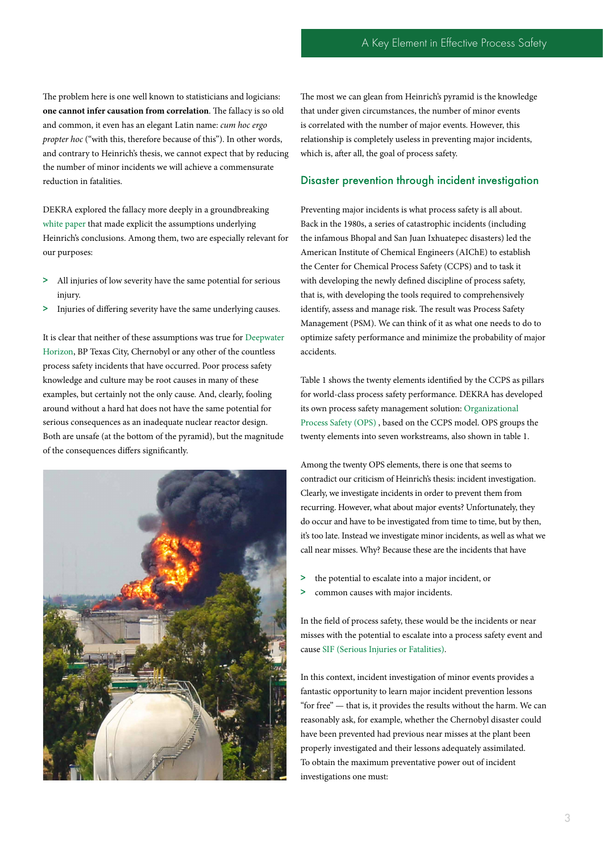The problem here is one well known to statisticians and logicians: **one cannot infer causation from correlation**. The fallacy is so old and common, it even has an elegant Latin name: *cum hoc ergo propter hoc* ("with this, therefore because of this"). In other words, and contrary to Heinrich's thesis, we cannot expect that by reducing the number of minor incidents we will achieve a commensurate reduction in fatalities.

DEKRA explored the fallacy more deeply in a groundbreaking [white paper](https://www.dekra.com/media/dekra-white-paper-new-findings-on-serious-injuries-and-fatalities.pdf) that made explicit the assumptions underlying Heinrich's conclusions. Among them, two are especially relevant for our purposes:

- > All injuries of low severity have the same potential for serious injury.
- > Injuries of differing severity have the same underlying causes.

It is clear that neither of these assumptions was true for [Deepwater](https://www.dekra.com/media/dekra-wp-ma-en.pdf)  [Horizon](https://www.dekra.com/media/dekra-wp-ma-en.pdf), BP Texas City, Chernobyl or any other of the countless process safety incidents that have occurred. Poor process safety knowledge and culture may be root causes in many of these examples, but certainly not the only cause. And, clearly, fooling around without a hard hat does not have the same potential for serious consequences as an inadequate nuclear reactor design. Both are unsafe (at the bottom of the pyramid), but the magnitude of the consequences differs significantly.



The most we can glean from Heinrich's pyramid is the knowledge that under given circumstances, the number of minor events is correlated with the number of major events. However, this relationship is completely useless in preventing major incidents, which is, after all, the goal of process safety.

### Disaster prevention through incident investigation

Preventing major incidents is what process safety is all about. Back in the 1980s, a series of catastrophic incidents (including the infamous Bhopal and San Juan Ixhuatepec disasters) led the American Institute of Chemical Engineers (AIChE) to establish the Center for Chemical Process Safety (CCPS) and to task it with developing the newly defined discipline of process safety, that is, with developing the tools required to comprehensively identify, assess and manage risk. The result was Process Safety Management (PSM). We can think of it as what one needs to do to optimize safety performance and minimize the probability of major accidents.

Table 1 shows the twenty elements identified by the CCPS as pillars for world-class process safety performance. DEKRA has developed its own process safety management solution: [Organizational](https://www.dekra.com/en/organizational-process-safety/)  [Process Safety \(OPS\)](https://www.dekra.com/en/organizational-process-safety/) , based on the CCPS model. OPS groups the twenty elements into seven workstreams, also shown in table 1.

Among the twenty OPS elements, there is one that seems to contradict our criticism of Heinrich's thesis: incident investigation. Clearly, we investigate incidents in order to prevent them from recurring. However, what about major events? Unfortunately, they do occur and have to be investigated from time to time, but by then, it's too late. Instead we investigate minor incidents, as well as what we call near misses. Why? Because these are the incidents that have

- > the potential to escalate into a major incident, or
- > common causes with major incidents.

In the field of process safety, these would be the incidents or near misses with the potential to escalate into a process safety event and cause [SIF \(Serious Injuries or Fatalities\).](https://www.dekra.com/en/serious-injury-and-fatality-consultancy/)

In this context, incident investigation of minor events provides a fantastic opportunity to learn major incident prevention lessons "for free" — that is, it provides the results without the harm. We can reasonably ask, for example, whether the Chernobyl disaster could have been prevented had previous near misses at the plant been properly investigated and their lessons adequately assimilated. To obtain the maximum preventative power out of incident investigations one must: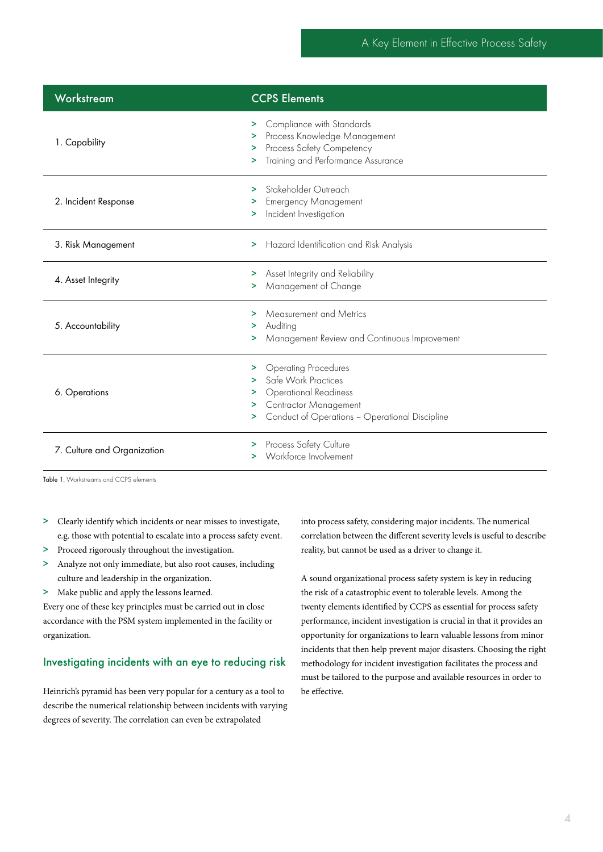| Workstream                  | <b>CCPS Elements</b>                                                                                                                                                                          |
|-----------------------------|-----------------------------------------------------------------------------------------------------------------------------------------------------------------------------------------------|
| 1. Capability               | > Compliance with Standards<br>> Process Knowledge Management<br>Process Safety Competency<br>⋗<br>Training and Performance Assurance<br>⋗.                                                   |
| 2. Incident Response        | Stakeholder Outreach<br>><br><b>Emergency Management</b><br>⋗.<br>Incident Investigation<br>×.                                                                                                |
| 3. Risk Management          | Hazard Identification and Risk Analysis<br>>                                                                                                                                                  |
| 4. Asset Integrity          | > Asset Integrity and Reliability<br>Management of Change<br>>.                                                                                                                               |
| 5. Accountability           | Measurement and Metrics<br>⋗<br>Auditing<br>><br>Management Review and Continuous Improvement<br>>                                                                                            |
| 6. Operations               | <b>Operating Procedures</b><br>⋗<br>Safe Work Practices<br>><br><b>Operational Readiness</b><br>><br><b>Contractor Management</b><br>><br>Conduct of Operations - Operational Discipline<br>⋗ |
| 7. Culture and Organization | > Process Safety Culture<br>> Workforce Involvement                                                                                                                                           |

Table 1. Workstreams and CCPS elements

- > Clearly identify which incidents or near misses to investigate, e.g. those with potential to escalate into a process safety event.
- > Proceed rigorously throughout the investigation.
- > Analyze not only immediate, but also root causes, including culture and leadership in the organization.
- > Make public and apply the lessons learned.

Every one of these key principles must be carried out in close accordance with the PSM system implemented in the facility or organization.

## Investigating incidents with an eye to reducing risk

Heinrich's pyramid has been very popular for a century as a tool to describe the numerical relationship between incidents with varying degrees of severity. The correlation can even be extrapolated

into process safety, considering major incidents. The numerical correlation between the different severity levels is useful to describe reality, but cannot be used as a driver to change it.

A sound organizational process safety system is key in reducing the risk of a catastrophic event to tolerable levels. Among the twenty elements identified by CCPS as essential for process safety performance, incident investigation is crucial in that it provides an opportunity for organizations to learn valuable lessons from minor incidents that then help prevent major disasters. Choosing the right methodology for incident investigation facilitates the process and must be tailored to the purpose and available resources in order to be effective.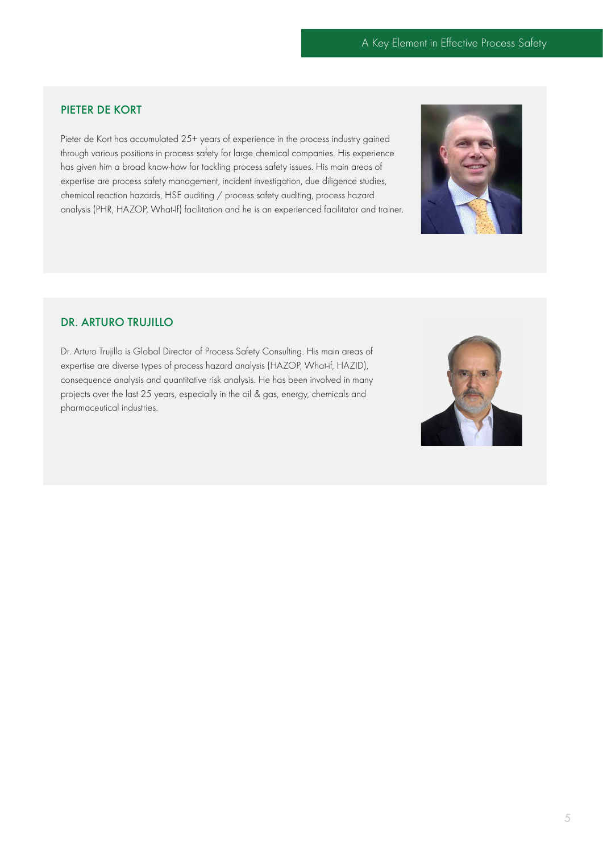# PIETER DE KORT

Pieter de Kort has accumulated 25+ years of experience in the process industry gained through various positions in process safety for large chemical companies. His experience has given him a broad know-how for tackling process safety issues. His main areas of expertise are process safety management, incident investigation, due diligence studies, chemical reaction hazards, HSE auditing / process safety auditing, process hazard analysis (PHR, HAZOP, What-If) facilitation and he is an experienced facilitator and trainer.



# DR. ARTURO TRUJILLO

Dr. Arturo Trujillo is Global Director of Process Safety Consulting. His main areas of expertise are diverse types of process hazard analysis (HAZOP, What-if, HAZID), consequence analysis and quantitative risk analysis. He has been involved in many projects over the last 25 years, especially in the oil & gas, energy, chemicals and pharmaceutical industries.